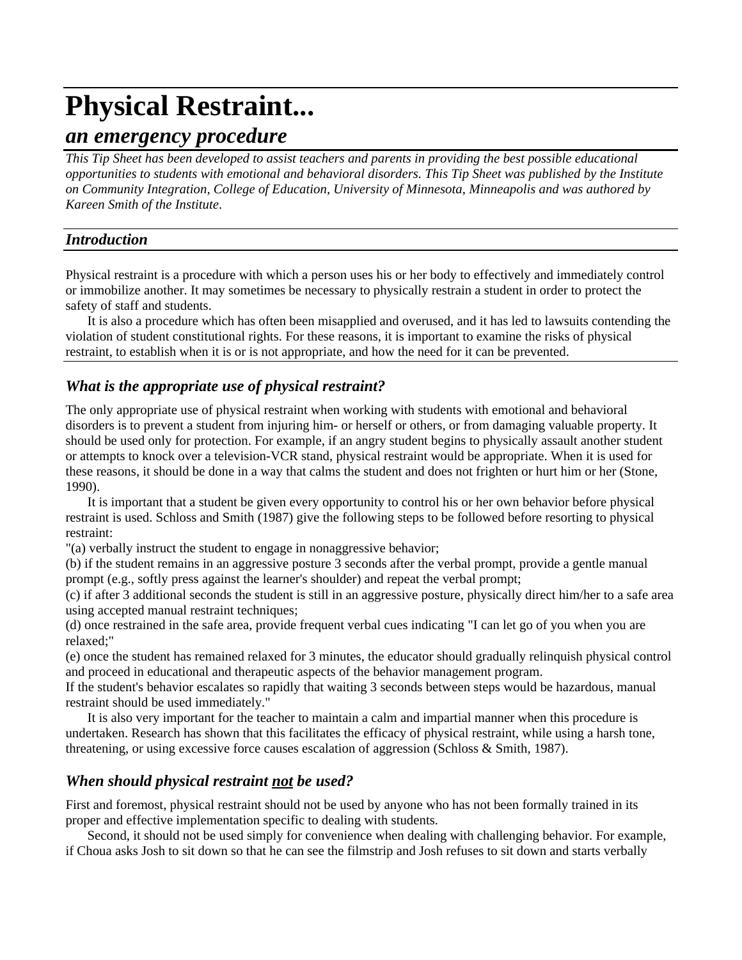# **Physical Restraint...**

# *an emergency procedure*

*This Tip Sheet has been developed to assist teachers and parents in providing the best possible educational opportunities to students with emotional and behavioral disorders. This Tip Sheet was published by the Institute on Community Integration, College of Education, University of Minnesota, Minneapolis and was authored by Kareen Smith of the Institute*.

### *Introduction*

Physical restraint is a procedure with which a person uses his or her body to effectively and immediately control or immobilize another. It may sometimes be necessary to physically restrain a student in order to protect the safety of staff and students.

It is also a procedure which has often been misapplied and overused, and it has led to lawsuits contending the violation of student constitutional rights. For these reasons, it is important to examine the risks of physical restraint, to establish when it is or is not appropriate, and how the need for it can be prevented.

# *What is the appropriate use of physical restraint?*

The only appropriate use of physical restraint when working with students with emotional and behavioral disorders is to prevent a student from injuring him- or herself or others, or from damaging valuable property. It should be used only for protection. For example, if an angry student begins to physically assault another student or attempts to knock over a television-VCR stand, physical restraint would be appropriate. When it is used for these reasons, it should be done in a way that calms the student and does not frighten or hurt him or her (Stone, 1990).

It is important that a student be given every opportunity to control his or her own behavior before physical restraint is used. Schloss and Smith (1987) give the following steps to be followed before resorting to physical restraint:

"(a) verbally instruct the student to engage in nonaggressive behavior;

(b) if the student remains in an aggressive posture 3 seconds after the verbal prompt, provide a gentle manual prompt (e.g., softly press against the learner's shoulder) and repeat the verbal prompt;

(c) if after 3 additional seconds the student is still in an aggressive posture, physically direct him/her to a safe area using accepted manual restraint techniques;

(d) once restrained in the safe area, provide frequent verbal cues indicating "I can let go of you when you are relaxed;"

(e) once the student has remained relaxed for 3 minutes, the educator should gradually relinquish physical control and proceed in educational and therapeutic aspects of the behavior management program.

If the student's behavior escalates so rapidly that waiting 3 seconds between steps would be hazardous, manual restraint should be used immediately."

It is also very important for the teacher to maintain a calm and impartial manner when this procedure is undertaken. Research has shown that this facilitates the efficacy of physical restraint, while using a harsh tone, threatening, or using excessive force causes escalation of aggression (Schloss & Smith, 1987).

# *When should physical restraint not be used?*

First and foremost, physical restraint should not be used by anyone who has not been formally trained in its proper and effective implementation specific to dealing with students.

Second, it should not be used simply for convenience when dealing with challenging behavior. For example, if Choua asks Josh to sit down so that he can see the filmstrip and Josh refuses to sit down and starts verbally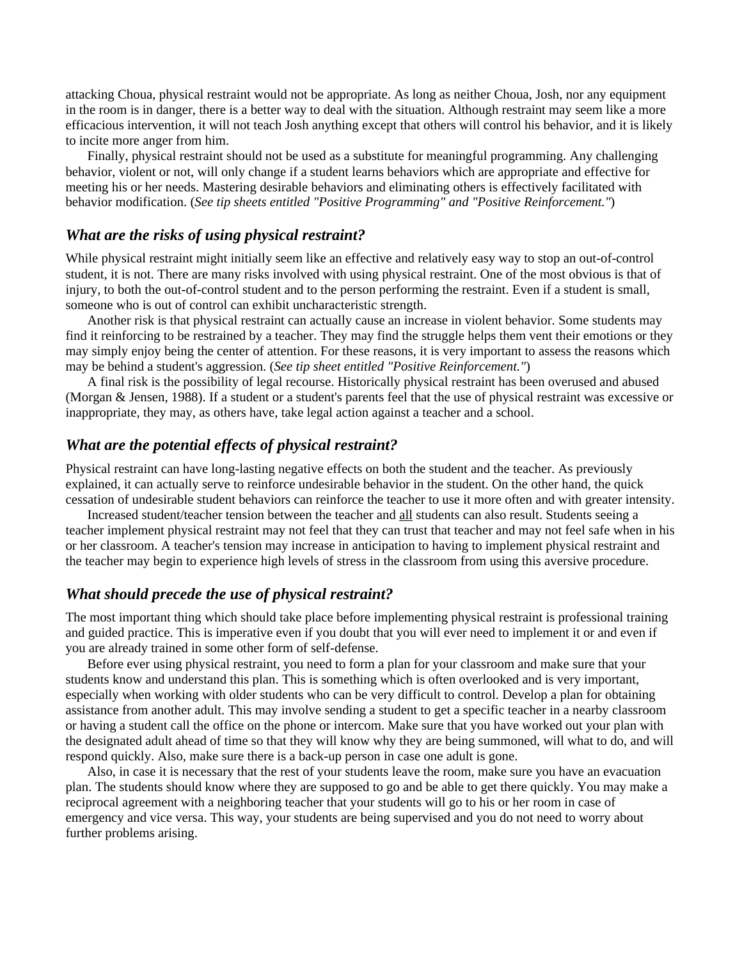attacking Choua, physical restraint would not be appropriate. As long as neither Choua, Josh, nor any equipment in the room is in danger, there is a better way to deal with the situation. Although restraint may seem like a more efficacious intervention, it will not teach Josh anything except that others will control his behavior, and it is likely to incite more anger from him.

Finally, physical restraint should not be used as a substitute for meaningful programming. Any challenging behavior, violent or not, will only change if a student learns behaviors which are appropriate and effective for meeting his or her needs. Mastering desirable behaviors and eliminating others is effectively facilitated with behavior modification. (*See tip sheets entitled "Positive Programming" and "Positive Reinforcement."*)

#### *What are the risks of using physical restraint?*

While physical restraint might initially seem like an effective and relatively easy way to stop an out-of-control student, it is not. There are many risks involved with using physical restraint. One of the most obvious is that of injury, to both the out-of-control student and to the person performing the restraint. Even if a student is small, someone who is out of control can exhibit uncharacteristic strength.

Another risk is that physical restraint can actually cause an increase in violent behavior. Some students may find it reinforcing to be restrained by a teacher. They may find the struggle helps them vent their emotions or they may simply enjoy being the center of attention. For these reasons, it is very important to assess the reasons which may be behind a student's aggression. (*See tip sheet entitled "Positive Reinforcement."*)

A final risk is the possibility of legal recourse. Historically physical restraint has been overused and abused (Morgan & Jensen, 1988). If a student or a student's parents feel that the use of physical restraint was excessive or inappropriate, they may, as others have, take legal action against a teacher and a school.

#### *What are the potential effects of physical restraint?*

Physical restraint can have long-lasting negative effects on both the student and the teacher. As previously explained, it can actually serve to reinforce undesirable behavior in the student. On the other hand, the quick cessation of undesirable student behaviors can reinforce the teacher to use it more often and with greater intensity.

Increased student/teacher tension between the teacher and all students can also result. Students seeing a teacher implement physical restraint may not feel that they can trust that teacher and may not feel safe when in his or her classroom. A teacher's tension may increase in anticipation to having to implement physical restraint and the teacher may begin to experience high levels of stress in the classroom from using this aversive procedure.

#### *What should precede the use of physical restraint?*

The most important thing which should take place before implementing physical restraint is professional training and guided practice. This is imperative even if you doubt that you will ever need to implement it or and even if you are already trained in some other form of self-defense.

Before ever using physical restraint, you need to form a plan for your classroom and make sure that your students know and understand this plan. This is something which is often overlooked and is very important, especially when working with older students who can be very difficult to control. Develop a plan for obtaining assistance from another adult. This may involve sending a student to get a specific teacher in a nearby classroom or having a student call the office on the phone or intercom. Make sure that you have worked out your plan with the designated adult ahead of time so that they will know why they are being summoned, will what to do, and will respond quickly. Also, make sure there is a back-up person in case one adult is gone.

Also, in case it is necessary that the rest of your students leave the room, make sure you have an evacuation plan. The students should know where they are supposed to go and be able to get there quickly. You may make a reciprocal agreement with a neighboring teacher that your students will go to his or her room in case of emergency and vice versa. This way, your students are being supervised and you do not need to worry about further problems arising.